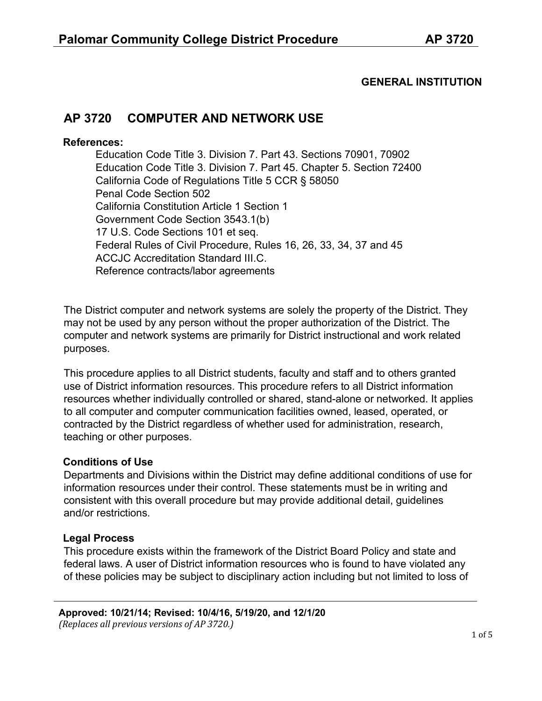### **GENERAL INSTITUTION**

# **AP 3720 COMPUTER AND NETWORK USE**

#### **References:**

Education Code Title 3. Division 7. Part 43. Sections 70901, 70902 Education Code Title 3. Division 7. Part 45. Chapter 5. Section 72400 California Code of Regulations Title 5 CCR § 58050 Penal Code Section 502 California Constitution Article 1 Section 1 Government Code Section 3543.1(b) 17 U.S. Code Sections 101 et seq. Federal Rules of Civil Procedure, Rules 16, 26, 33, 34, 37 and 45 ACCJC Accreditation Standard III.C. Reference contracts/labor agreements

The District computer and network systems are solely the property of the District. They may not be used by any person without the proper authorization of the District. The computer and network systems are primarily for District instructional and work related purposes.

This procedure applies to all District students, faculty and staff and to others granted use of District information resources. This procedure refers to all District information resources whether individually controlled or shared, stand-alone or networked. It applies to all computer and computer communication facilities owned, leased, operated, or contracted by the District regardless of whether used for administration, research, teaching or other purposes.

#### **Conditions of Use**

Departments and Divisions within the District may define additional conditions of use for information resources under their control. These statements must be in writing and consistent with this overall procedure but may provide additional detail, guidelines and/or restrictions.

### **Legal Process**

This procedure exists within the framework of the District Board Policy and state and federal laws. A user of District information resources who is found to have violated any of these policies may be subject to disciplinary action including but not limited to loss of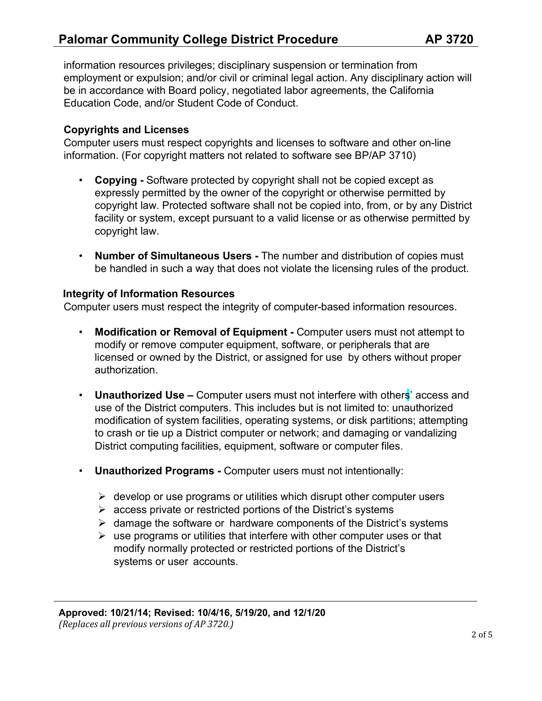information resources privileges; disciplinary suspension or termination from employment or expulsion; and/or civil or criminal legal action. Any disciplinary action will be in accordance with Board policy, negotiated labor agreements, the California Education Code, and/or Student Code of Conduct.

### **Copyrights and Licenses**

Computer users must respect copyrights and licenses to software and other on-line information. (For copyright matters not related to software see BP/AP 3710)

- **Copying -** Software protected by copyright shall not be copied except as expressly permitted by the owner of the copyright or otherwise permitted by copyright law. Protected software shall not be copied into, from, or by any District facility or system, except pursuant to a valid license or as otherwise permitted by copyright law.
- **Number of Simultaneous Users -** The number and distribution of copies must be handled in such a way that does not violate the licensing rules of the product.

#### **Integrity of Information Resources**

Computer users must respect the integrity of computer-based information resources.

- **Modification or Removal of Equipment -** Computer users must not attempt to modify or remove computer equipment, software, or peripherals that are licensed or owned by the District, or assigned for use by others without proper authorization.
- **Unauthorized Use –** Computer users must not interfere with others' access and use of the District computers. This includes but is not limited to: unauthorized modification of system facilities, operating systems, or disk partitions; attempting to crash or tie up a District computer or network; and damaging or vandalizing District computing facilities, equipment, software or computer files.
- **Unauthorized Programs -** Computer users must not intentionally:
	- $\triangleright$  develop or use programs or utilities which disrupt other computer users
	- $\triangleright$  access private or restricted portions of the District's systems
	- $\triangleright$  damage the software or hardware components of the District's systems
	- $\triangleright$  use programs or utilities that interfere with other computer uses or that modify normally protected or restricted portions of the District's systems or user accounts.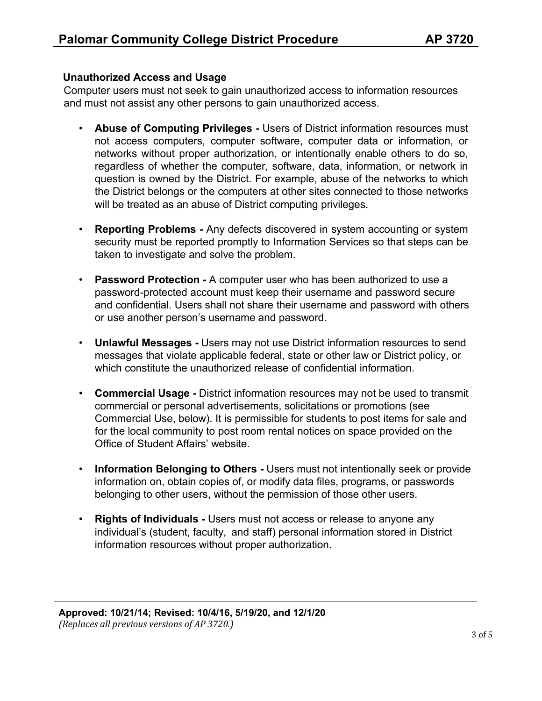### **Unauthorized Access and Usage**

Computer users must not seek to gain unauthorized access to information resources and must not assist any other persons to gain unauthorized access.

- **Abuse of Computing Privileges -** Users of District information resources must not access computers, computer software, computer data or information, or networks without proper authorization, or intentionally enable others to do so, regardless of whether the computer, software, data, information, or network in question is owned by the District. For example, abuse of the networks to which the District belongs or the computers at other sites connected to those networks will be treated as an abuse of District computing privileges.
- **Reporting Problems -** Any defects discovered in system accounting or system security must be reported promptly to Information Services so that steps can be taken to investigate and solve the problem.
- **Password Protection -** A computer user who has been authorized to use a password-protected account must keep their username and password secure and confidential. Users shall not share their username and password with others or use another person's username and password.
- **Unlawful Messages -** Users may not use District information resources to send messages that violate applicable federal, state or other law or District policy, or which constitute the unauthorized release of confidential information.
- **Commercial Usage -** District information resources may not be used to transmit commercial or personal advertisements, solicitations or promotions (see Commercial Use, below). It is permissible for students to post items for sale and for the local community to post room rental notices on space provided on the Office of Student Affairs' website.
- **Information Belonging to Others -** Users must not intentionally seek or provide information on, obtain copies of, or modify data files, programs, or passwords belonging to other users, without the permission of those other users.
- **Rights of Individuals -** Users must not access or release to anyone any individual's (student, faculty, and staff) personal information stored in District information resources without proper authorization.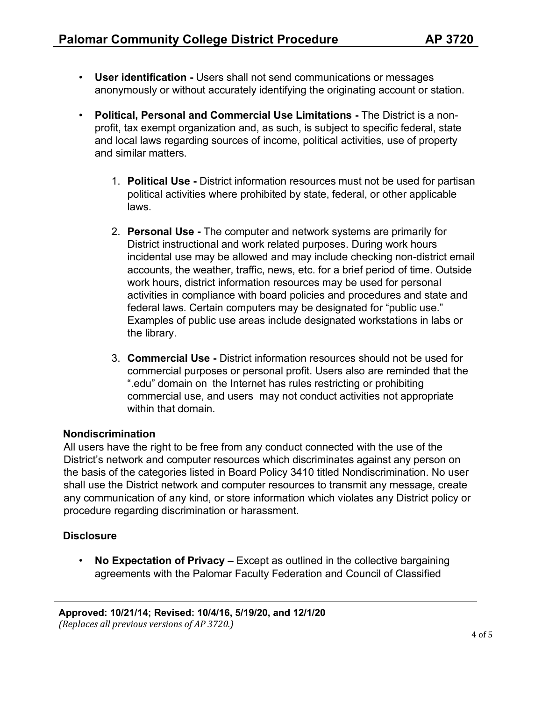- **User identification -** Users shall not send communications or messages anonymously or without accurately identifying the originating account or station.
- **Political, Personal and Commercial Use Limitations -** The District is a nonprofit, tax exempt organization and, as such, is subject to specific federal, state and local laws regarding sources of income, political activities, use of property and similar matters.
	- 1. **Political Use -** District information resources must not be used for partisan political activities where prohibited by state, federal, or other applicable laws.
	- 2. **Personal Use -** The computer and network systems are primarily for District instructional and work related purposes. During work hours incidental use may be allowed and may include checking non-district email accounts, the weather, traffic, news, etc. for a brief period of time. Outside work hours, district information resources may be used for personal activities in compliance with board policies and procedures and state and federal laws. Certain computers may be designated for "public use." Examples of public use areas include designated workstations in labs or the library.
	- 3. **Commercial Use -** District information resources should not be used for commercial purposes or personal profit. Users also are reminded that the ".edu" domain on the Internet has rules restricting or prohibiting commercial use, and users may not conduct activities not appropriate within that domain

### **Nondiscrimination**

All users have the right to be free from any conduct connected with the use of the District's network and computer resources which discriminates against any person on the basis of the categories listed in Board Policy 3410 titled Nondiscrimination. No user shall use the District network and computer resources to transmit any message, create any communication of any kind, or store information which violates any District policy or procedure regarding discrimination or harassment.

## **Disclosure**

• **No Expectation of Privacy –** Except as outlined in the collective bargaining agreements with the Palomar Faculty Federation and Council of Classified